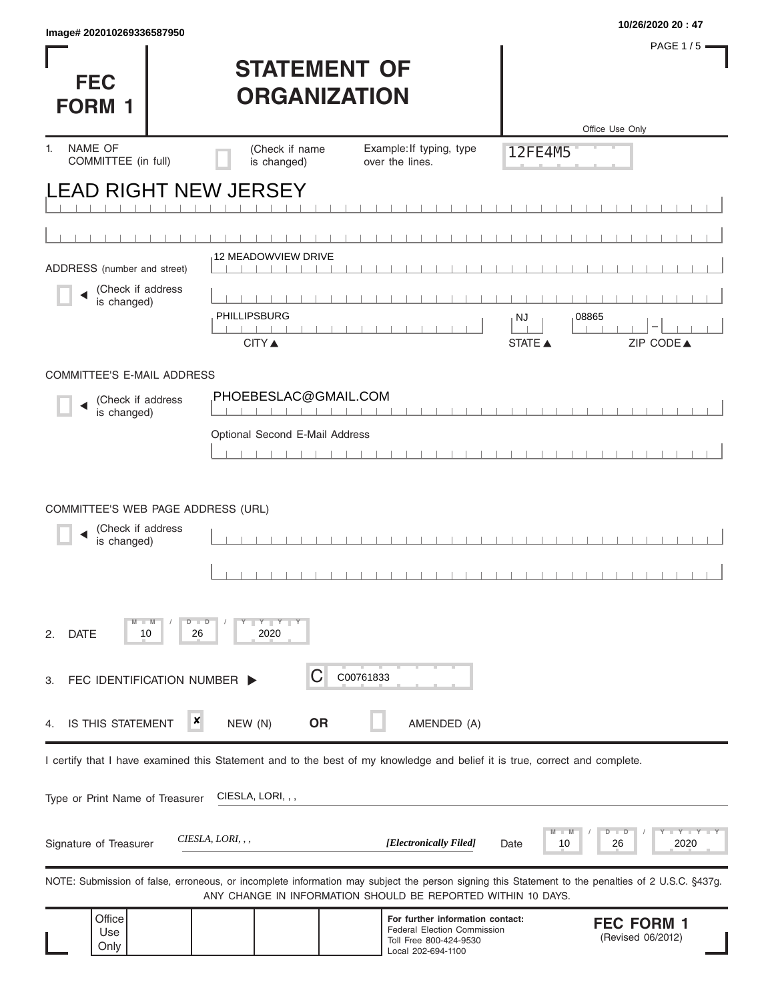| Image# 202010269336587950                                                                                                  |                                            |                                                                                                                        |                                                                                                                                                   | 10/26/2020 20:47    |
|----------------------------------------------------------------------------------------------------------------------------|--------------------------------------------|------------------------------------------------------------------------------------------------------------------------|---------------------------------------------------------------------------------------------------------------------------------------------------|---------------------|
| <b>FEC</b><br><b>FORM 1</b>                                                                                                | <b>STATEMENT OF</b><br><b>ORGANIZATION</b> |                                                                                                                        |                                                                                                                                                   | <b>PAGE 1/5</b>     |
|                                                                                                                            |                                            |                                                                                                                        | Office Use Only                                                                                                                                   |                     |
| NAME OF<br>1.<br>COMMITTEE (in full)                                                                                       | (Check if name<br>is changed)              | Example: If typing, type<br>over the lines.                                                                            | 12FE4M5                                                                                                                                           |                     |
| <b>EAD RIGHT NEW JERSEY</b>                                                                                                |                                            |                                                                                                                        |                                                                                                                                                   |                     |
|                                                                                                                            |                                            |                                                                                                                        |                                                                                                                                                   |                     |
|                                                                                                                            |                                            |                                                                                                                        |                                                                                                                                                   |                     |
| ADDRESS (number and street)                                                                                                | <b>12 MEADOWVIEW DRIVE</b>                 |                                                                                                                        |                                                                                                                                                   |                     |
| (Check if address<br>is changed)                                                                                           |                                            |                                                                                                                        |                                                                                                                                                   |                     |
|                                                                                                                            | PHILLIPSBURG                               |                                                                                                                        | 08865<br>NJ                                                                                                                                       |                     |
|                                                                                                                            | <b>CITY</b> ▲                              |                                                                                                                        | ZIP CODE▲<br><b>STATE ▲</b>                                                                                                                       |                     |
| COMMITTEE'S E-MAIL ADDRESS                                                                                                 |                                            |                                                                                                                        |                                                                                                                                                   |                     |
| (Check if address<br>is changed)                                                                                           | PHOEBESLAC@GMAIL.COM                       | $1 - 1 - 1 - 1$                                                                                                        |                                                                                                                                                   |                     |
|                                                                                                                            | Optional Second E-Mail Address             |                                                                                                                        |                                                                                                                                                   |                     |
|                                                                                                                            |                                            |                                                                                                                        |                                                                                                                                                   |                     |
| COMMITTEE'S WEB PAGE ADDRESS (URL)<br>(Check if address<br>is changed)                                                     |                                            |                                                                                                                        |                                                                                                                                                   |                     |
| $-W$<br><b>DATE</b><br>26<br>2.<br>10                                                                                      | $Y$ $Y$<br>$D$ $D$<br>2020                 |                                                                                                                        |                                                                                                                                                   |                     |
| FEC IDENTIFICATION NUMBER ><br>3.                                                                                          | C                                          | C00761833                                                                                                              |                                                                                                                                                   |                     |
| ×<br>IS THIS STATEMENT<br>4                                                                                                | <b>OR</b><br>NEW (N)                       | AMENDED (A)                                                                                                            |                                                                                                                                                   |                     |
| I certify that I have examined this Statement and to the best of my knowledge and belief it is true, correct and complete. |                                            |                                                                                                                        |                                                                                                                                                   |                     |
| Type or Print Name of Treasurer                                                                                            | CIESLA, LORI, , ,                          |                                                                                                                        |                                                                                                                                                   |                     |
| Signature of Treasurer                                                                                                     | CIESLA, LORI, , ,                          | [Electronically Filed]                                                                                                 | D<br>T<br>D<br>26<br>10<br>Date                                                                                                                   | $Y - Y - Y$<br>2020 |
|                                                                                                                            |                                            | ANY CHANGE IN INFORMATION SHOULD BE REPORTED WITHIN 10 DAYS.                                                           | NOTE: Submission of false, erroneous, or incomplete information may subject the person signing this Statement to the penalties of 2 U.S.C. §437g. |                     |
| Office<br>Use<br>Only                                                                                                      |                                            | For further information contact:<br><b>Federal Election Commission</b><br>Toll Free 800-424-9530<br>Local 202-694-1100 | <b>FEC FORM 1</b><br>(Revised 06/2012)                                                                                                            |                     |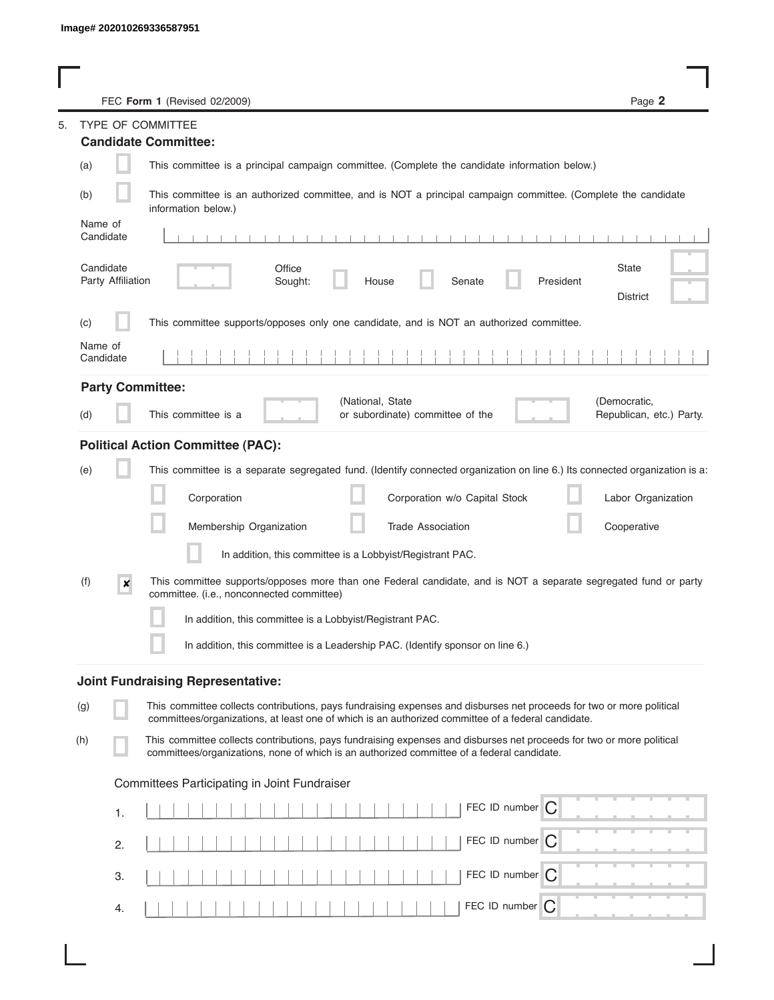| FEC Form 1 (Revised 02/2009)                                                                                                                                                                                                       | Page 2                                   |
|------------------------------------------------------------------------------------------------------------------------------------------------------------------------------------------------------------------------------------|------------------------------------------|
| TYPE OF COMMITTEE                                                                                                                                                                                                                  |                                          |
| <b>Candidate Committee:</b>                                                                                                                                                                                                        |                                          |
| (a)<br>This committee is a principal campaign committee. (Complete the candidate information below.)                                                                                                                               |                                          |
| This committee is an authorized committee, and is NOT a principal campaign committee. (Complete the candidate<br>(b)<br>information below.)                                                                                        |                                          |
| Name of<br>Candidate                                                                                                                                                                                                               |                                          |
| Candidate<br>Office<br>Party Affiliation<br>President<br>Sought:<br>House<br>Senate                                                                                                                                                | State<br><b>District</b>                 |
| This committee supports/opposes only one candidate, and is NOT an authorized committee.<br>(c)                                                                                                                                     |                                          |
| Name of<br>Candidate                                                                                                                                                                                                               |                                          |
| <b>Party Committee:</b>                                                                                                                                                                                                            |                                          |
| (National, State<br>This committee is a<br>or subordinate) committee of the<br>(d)                                                                                                                                                 | (Democratic,<br>Republican, etc.) Party. |
| <b>Political Action Committee (PAC):</b>                                                                                                                                                                                           |                                          |
| This committee is a separate segregated fund. (Identify connected organization on line 6.) Its connected organization is a:<br>(e)                                                                                                 |                                          |
| Corporation<br>Corporation w/o Capital Stock                                                                                                                                                                                       | Labor Organization                       |
| Membership Organization<br>Trade Association                                                                                                                                                                                       | Cooperative                              |
| In addition, this committee is a Lobbyist/Registrant PAC.                                                                                                                                                                          |                                          |
| This committee supports/opposes more than one Federal candidate, and is NOT a separate segregated fund or party<br>(f)<br>$\boldsymbol{x}$<br>committee. (i.e., nonconnected committee)                                            |                                          |
| In addition, this committee is a Lobbyist/Registrant PAC.                                                                                                                                                                          |                                          |
| In addition, this committee is a Leadership PAC. (Identify sponsor on line 6.)                                                                                                                                                     |                                          |
| <b>Joint Fundraising Representative:</b>                                                                                                                                                                                           |                                          |
| This committee collects contributions, pays fundraising expenses and disburses net proceeds for two or more political<br>(g)<br>committees/organizations, at least one of which is an authorized committee of a federal candidate. |                                          |
| This committee collects contributions, pays fundraising expenses and disburses net proceeds for two or more political<br>(h)<br>committees/organizations, none of which is an authorized committee of a federal candidate.         |                                          |
| Committees Participating in Joint Fundraiser                                                                                                                                                                                       |                                          |
| FEC ID number<br>C<br>1.                                                                                                                                                                                                           |                                          |
| FEC ID number<br>C<br>2.                                                                                                                                                                                                           |                                          |
| FEC ID number $\bigcap$<br>3.                                                                                                                                                                                                      |                                          |
| FEC ID number $\bigcap$<br>4.                                                                                                                                                                                                      |                                          |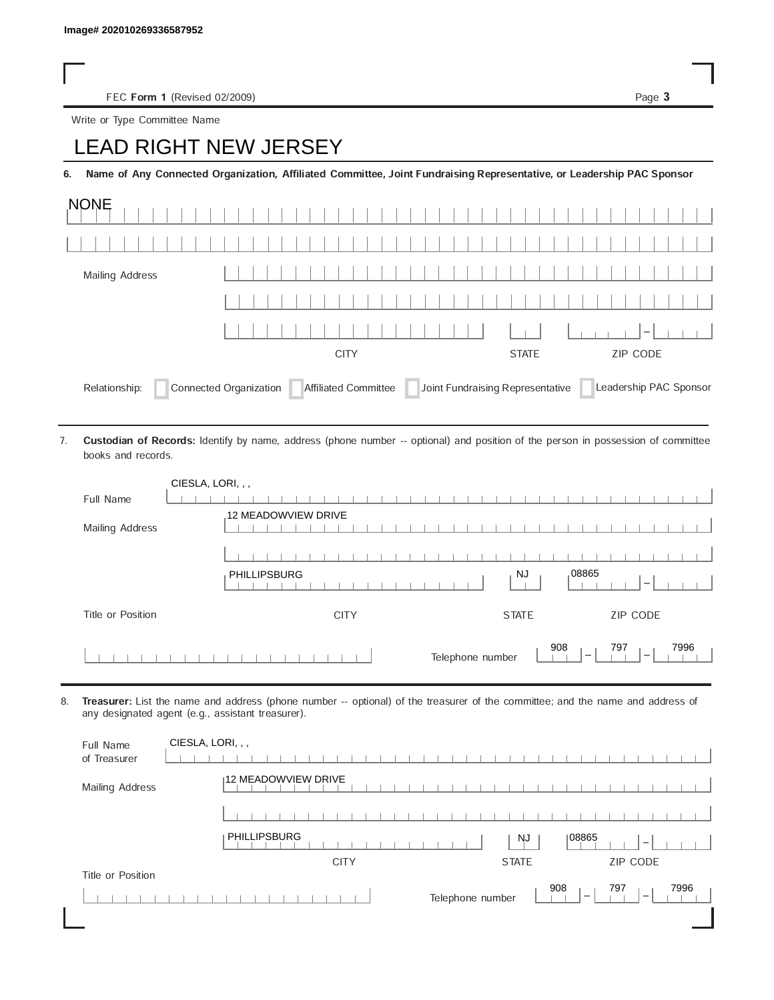FEC Form 1 (Revised 02/2009) Page 3

Write or Type Committee Name

## Image# 202010269336587952<br>
FEC Form 1 (Revised 02/2009)<br>
Write or Type Committee Name<br> **LEAD RIGHT NEW JERSEY**

6. Name of Any Connected Organization, Affiliated Committee, Joint Fundraising Representative, or Leadership PAC Sponsor

| <b>NONE</b>                                                                                                                |             |              |                          |  |  |  |  |  |  |  |
|----------------------------------------------------------------------------------------------------------------------------|-------------|--------------|--------------------------|--|--|--|--|--|--|--|
|                                                                                                                            |             |              |                          |  |  |  |  |  |  |  |
| Mailing Address                                                                                                            |             |              |                          |  |  |  |  |  |  |  |
|                                                                                                                            |             |              |                          |  |  |  |  |  |  |  |
|                                                                                                                            |             |              | $\overline{\phantom{a}}$ |  |  |  |  |  |  |  |
|                                                                                                                            | <b>CITY</b> | <b>STATE</b> | ZIP CODE                 |  |  |  |  |  |  |  |
| Affiliated Committee Joint Fundraising Representative<br>Connected Organization<br>Leadership PAC Sponsor<br>Relationship: |             |              |                          |  |  |  |  |  |  |  |

Custodian of Records: Identify by name, address (phone number -- optional) and position of the person in possession of committee books and records. 7.

| CIESLA, LORI, , , |                                                                                                |
|-------------------|------------------------------------------------------------------------------------------------|
| Full Name         |                                                                                                |
| Mailing Address   | 12 MEADOWVIEW DRIVE                                                                            |
|                   |                                                                                                |
|                   | 08865<br><b>NJ</b><br><b>PHILLIPSBURG</b><br>$\overline{\phantom{a}}$                          |
| Title or Position | ZIP CODE<br><b>CITY</b><br><b>STATE</b>                                                        |
|                   | 908<br>797<br>7996<br>Telephone number<br>$\overline{\phantom{a}}$<br>$\overline{\phantom{a}}$ |

8. Treasurer: List the name and address (phone number -- optional) of the treasurer of the committee; and the name and address of any designated agent (e.g., assistant treasurer).

| Full Name<br>of Treasurer | CIESLA, LORI, , ,                                                                              |
|---------------------------|------------------------------------------------------------------------------------------------|
| Mailing Address           | 12 MEADOWVIEW DRIVE                                                                            |
|                           |                                                                                                |
|                           | PHILLIPSBURG<br>08865<br><b>NJ</b><br>$\hspace{0.1mm}$                                         |
|                           | <b>ZIP CODE</b><br><b>CITY</b><br><b>STATE</b>                                                 |
| Title or Position         |                                                                                                |
|                           | 908<br>797<br>7996<br>Telephone number<br>$\overline{\phantom{a}}$<br>$\overline{\phantom{a}}$ |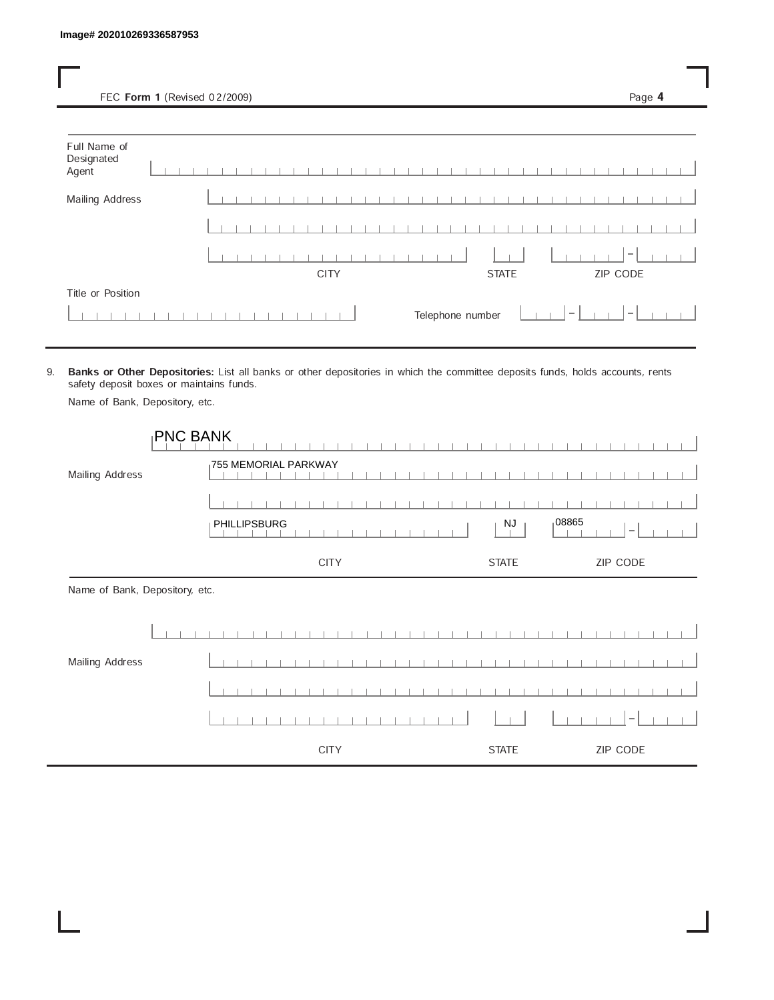FEC Form 1 (Revised 02/2009) Page 4

| Full Name of<br>Designated<br>Agent |  |  |  |  |  |             |  |  |  |  |  |                  |              |  |        |  |                              |  |  |
|-------------------------------------|--|--|--|--|--|-------------|--|--|--|--|--|------------------|--------------|--|--------|--|------------------------------|--|--|
| Mailing Address                     |  |  |  |  |  |             |  |  |  |  |  |                  |              |  |        |  |                              |  |  |
|                                     |  |  |  |  |  |             |  |  |  |  |  |                  |              |  |        |  |                              |  |  |
|                                     |  |  |  |  |  | <b>CITY</b> |  |  |  |  |  |                  | <b>STATE</b> |  |        |  | $\hspace{0.1mm}$<br>ZIP CODE |  |  |
| Title or Position                   |  |  |  |  |  |             |  |  |  |  |  | Telephone number |              |  | $\sim$ |  | $\sim$                       |  |  |

9. Banks or Other Depositories: List all banks or other depositories in which the committee deposits funds, holds accounts, rents safety deposit boxes or maintains funds.

| Name of Bank, Depository, etc. |  |
|--------------------------------|--|
|--------------------------------|--|

| <b>PNC BANK</b>                |                                   |                     |                          |
|--------------------------------|-----------------------------------|---------------------|--------------------------|
| Mailing Address                | <sub>1</sub> 755 MEMORIAL PARKWAY |                     |                          |
|                                |                                   |                     |                          |
|                                | PHILLIPSBURG                      | 108865<br><b>NJ</b> | $\overline{\phantom{a}}$ |
|                                | <b>CITY</b>                       | <b>STATE</b>        | ZIP CODE                 |
| Name of Bank, Depository, etc. |                                   |                     |                          |
|                                |                                   |                     |                          |
| Mailing Address                |                                   |                     |                          |
|                                |                                   |                     |                          |
|                                |                                   |                     | -                        |
|                                | <b>CITY</b>                       | <b>STATE</b>        | ZIP CODE                 |